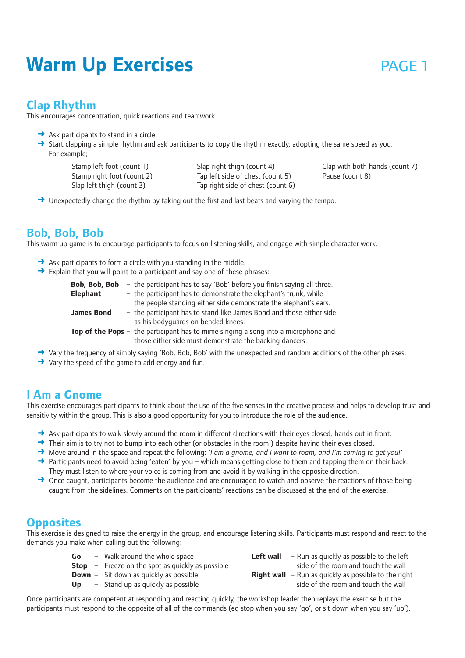# **Warm Up Exercises page 1**

## **Clap Rhythm**

This encourages concentration, quick reactions and teamwork.

- $\rightarrow$  Ask participants to stand in a circle.
- ➜ Start clapping a simple rhythm and ask participants to copy the rhythm exactly, adopting the same speed as you. For example;

Stamp left foot (count 1) Stamp right foot (count 2) Slap left thigh (count 3)

Slap right thigh (count 4) Tap left side of chest (count 5) Tap right side of chest (count 6) Clap with both hands (count 7) Pause (count 8)

→ Unexpectedly change the rhythm by taking out the first and last beats and varying the tempo.

## **Bob, Bob, Bob**

This warm up game is to encourage participants to focus on listening skills, and engage with simple character work.

- $\rightarrow$  Ask participants to form a circle with you standing in the middle.
- $\rightarrow$  Explain that you will point to a participant and say one of these phrases:

| Bob, Bob, Bob     | - the participant has to say 'Bob' before you finish saying all three.                      |
|-------------------|---------------------------------------------------------------------------------------------|
| Elephant          | - the participant has to demonstrate the elephant's trunk, while                            |
|                   | the people standing either side demonstrate the elephant's ears.                            |
| <b>James Bond</b> | - the participant has to stand like James Bond and those either side                        |
|                   | as his bodyquards on bended knees.                                                          |
|                   | <b>Top of the Pops</b> $-$ the participant has to mime singing a song into a microphone and |
|                   | those either side must demonstrate the backing dancers.                                     |

- ➜ Vary the frequency of simply saying 'Bob, Bob, Bob' with the unexpected and random additions of the other phrases.
- **→** Vary the speed of the game to add energy and fun.

## **I Am a Gnome**

This exercise encourages participants to think about the use of the five senses in the creative process and helps to develop trust and sensitivity within the group. This is also a good opportunity for you to introduce the role of the audience.

- → Ask participants to walk slowly around the room in different directions with their eyes closed, hands out in front.
- → Their aim is to try not to bump into each other (or obstacles in the room!) despite having their eyes closed.
- ➜ Move around in the space and repeat the following: *'I am a gnome, and I want to roam, and I'm coming to get you!'*
- → Participants need to avoid being 'eaten' by you which means getting close to them and tapping them on their back. They must listen to where your voice is coming from and avoid it by walking in the opposite direction.
- $\rightarrow$  Once caught, participants become the audience and are encouraged to watch and observe the reactions of those being caught from the sidelines. Comments on the participants' reactions can be discussed at the end of the exercise.

## **Opposites**

This exercise is designed to raise the energy in the group, and encourage listening skills. Participants must respond and react to the demands you make when calling out the following:

| Go | - Walk around the whole space                             | Left wall | - Run as quickly as possible to the left                      |
|----|-----------------------------------------------------------|-----------|---------------------------------------------------------------|
|    | <b>Stop</b> $-$ Freeze on the spot as quickly as possible |           | side of the room and touch the wall                           |
|    | <b>Down</b> $-$ Sit down as quickly as possible           |           | <b>Right wall</b> $-$ Run as quickly as possible to the right |
| Up | - Stand up as quickly as possible                         |           | side of the room and touch the wall                           |

Once participants are competent at responding and reacting quickly, the workshop leader then replays the exercise but the participants must respond to the opposite of all of the commands (eg stop when you say 'go', or sit down when you say 'up').